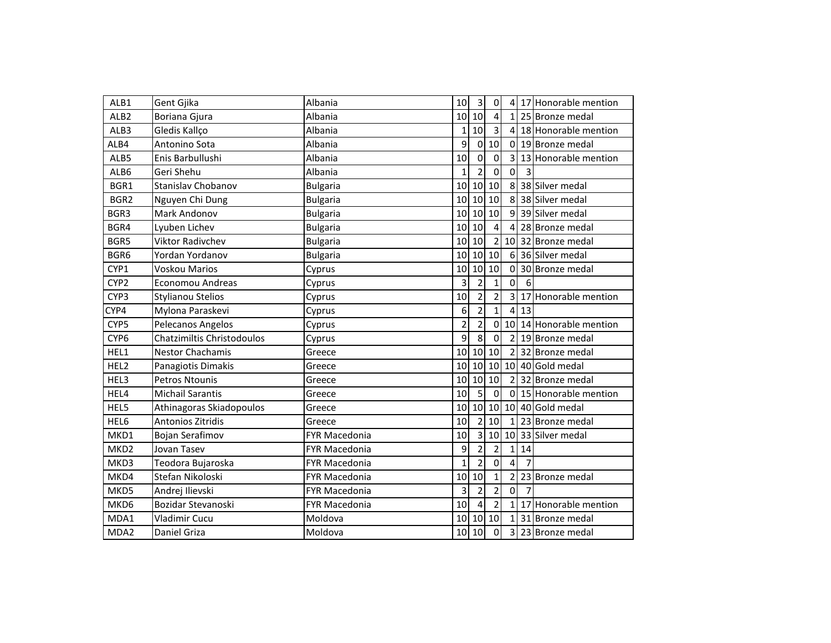| ALB1             | Gent Gjika                 | Albania              | 10                      | $\overline{\mathbf{3}}$ | $\mathbf 0$     | $\overline{4}$           |    | 17 Honorable mention |
|------------------|----------------------------|----------------------|-------------------------|-------------------------|-----------------|--------------------------|----|----------------------|
| ALB <sub>2</sub> | Boriana Gjura              | Albania              |                         | 10 10                   | 4               | 1                        |    | 25 Bronze medal      |
| ALB3             | Gledis Kallço              | Albania              | 1                       | 10                      | $\overline{3}$  | 4                        |    | 18 Honorable mention |
| ALB4             | Antonino Sota              | Albania              | 9                       | $\pmb{0}$               | 10              | $\Omega$                 |    | 19 Bronze medal      |
| ALB5             | Enis Barbullushi           | Albania              | 10                      | $\mathbf 0$             | $\overline{0}$  | 3                        |    | 13 Honorable mention |
| ALB6             | Geri Shehu                 | Albania              | 1                       | $\overline{2}$          | $\Omega$        | $\Omega$                 |    |                      |
| BGR1             | Stanislav Chobanov         | <b>Bulgaria</b>      | 10                      | 10                      | 10              | 8                        |    | 38 Silver medal      |
| BGR2             | Nguyen Chi Dung            | <b>Bulgaria</b>      | 10                      | 10                      | 10              | 8                        |    | 38 Silver medal      |
| BGR3             | Mark Andonov               | <b>Bulgaria</b>      | 10                      | 10                      | 10              | 9                        |    | 39 Silver medal      |
| BGR4             | Lyuben Lichev              | <b>Bulgaria</b>      | 10                      | 10                      | 4               | 4                        |    | 28 Bronze medal      |
| BGR5             | <b>Viktor Radivchev</b>    | <b>Bulgaria</b>      | 10                      | 10                      | $\overline{2}$  | 10                       |    | 32 Bronze medal      |
| BGR6             | Yordan Yordanov            | <b>Bulgaria</b>      | 10                      | 10                      | 10              | 6                        |    | 36 Silver medal      |
| CYP1             | Voskou Marios              | Cyprus               | 10                      | 10                      | 10              | $\Omega$                 |    | 30 Bronze medal      |
| CYP <sub>2</sub> | <b>Economou Andreas</b>    | Cyprus               | 3                       | $\overline{2}$          | $\overline{1}$  | $\Omega$                 | 6  |                      |
| CYP3             | <b>Stylianou Stelios</b>   | Cyprus               | 10                      | $\overline{2}$          | $\overline{2}$  | 3                        |    | 17 Honorable mention |
| CYP4             | Mylona Paraskevi           | Cyprus               | 6                       | $\overline{2}$          | 1               | $\overline{4}$           | 13 |                      |
| CYP5             | Pelecanos Angelos          | Cyprus               | $\overline{\mathbf{c}}$ | $\overline{2}$          | $\mathbf 0$     | 10                       |    | 14 Honorable mention |
| CYP <sub>6</sub> | Chatzimiltis Christodoulos | Cyprus               | $\overline{9}$          | $\overline{8}$          | $\overline{0}$  | $\overline{2}$           |    | 19 Bronze medal      |
| HEL1             | <b>Nestor Chachamis</b>    | Greece               | 10                      | 10                      | 10              | $\overline{\phantom{a}}$ |    | 32 Bronze medal      |
| HEL2             | Panagiotis Dimakis         | Greece               | 10                      | 10                      | 10              | 10                       |    | 40 Gold medal        |
| HEL3             | Petros Ntounis             | Greece               | 10                      | 10                      | $\overline{10}$ | $\overline{2}$           |    | 32 Bronze medal      |
| HEL4             | <b>Michail Sarantis</b>    | Greece               | 10                      | 5                       | $\Omega$        | $\Omega$                 |    | 15 Honorable mention |
| HEL5             | Athinagoras Skiadopoulos   | Greece               | 10                      | 10                      | 10              | 10                       |    | 40 Gold medal        |
| HEL6             | Antonios Zitridis          | Greece               | 10                      | $\overline{2}$          | 10              | 1                        |    | 23 Bronze medal      |
| MKD1             | Bojan Serafimov            | <b>FYR Macedonia</b> | 10                      | 3                       | 10              | 10                       |    | 33 Silver medal      |
| MKD <sub>2</sub> | Jovan Tasev                | <b>FYR Macedonia</b> | 9                       | $\overline{2}$          | $\overline{2}$  | 1                        | 14 |                      |
| MKD3             | Teodora Bujaroska          | FYR Macedonia        | $\mathbf{1}$            | $\overline{2}$          | $\overline{0}$  |                          |    |                      |
| MKD4             | Stefan Nikoloski           | FYR Macedonia        | 10                      | 10                      | $\mathbf{1}$    |                          |    | 23 Bronze medal      |
| MKD5             | Andrej Ilievski            | <b>FYR Macedonia</b> | 3                       | $\overline{2}$          | $\overline{2}$  | $\mathbf 0$              | 7  |                      |
| MKD6             | Bozidar Stevanoski         | <b>FYR Macedonia</b> | 10                      | $\overline{4}$          | $\overline{2}$  | $\mathbf{1}$             |    | 17 Honorable mention |
| MDA1             | Vladimir Cucu              | Moldova              | 10                      | 10                      | 10              | $\mathbf{1}$             |    | 31 Bronze medal      |
| MDA2             | Daniel Griza               | Moldova              | 10                      | 10                      | $\mathbf 0$     | 3                        |    | 23 Bronze medal      |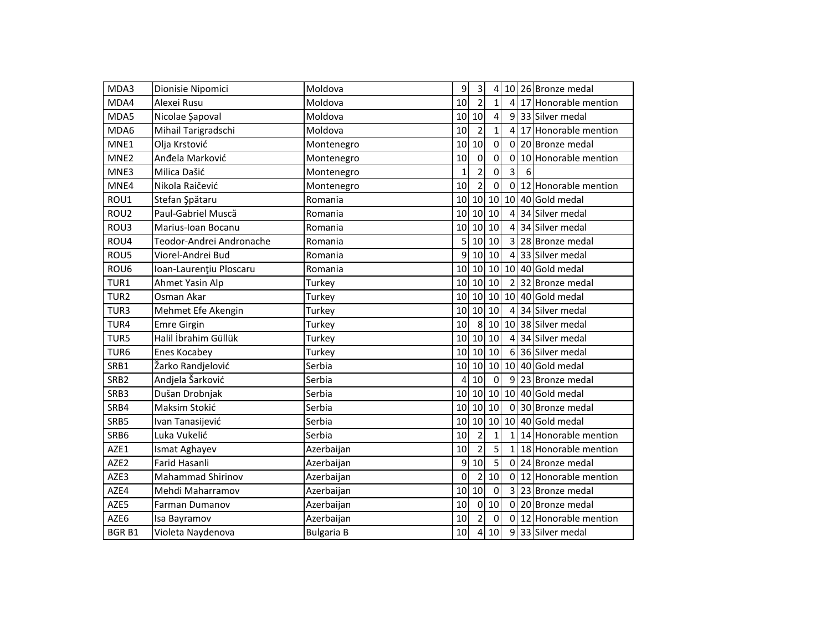| MDA3             | Dionisie Nipomici        | Moldova           | 9               | 3              | 4            |                |   | 10 26 Bronze medal     |
|------------------|--------------------------|-------------------|-----------------|----------------|--------------|----------------|---|------------------------|
| MDA4             | Alexei Rusu              | Moldova           | 10              | $\overline{2}$ | 1            | 4              |   | 17 Honorable mention   |
| MDA5             | Nicolae Şapoval          | Moldova           | 10              | 10             | 4            | 9              |   | 33 Silver medal        |
| MDA6             | Mihail Tarigradschi      | Moldova           | 10              | $\overline{2}$ | 1            | 4              |   | 17 Honorable mention   |
| MNE1             | Olja Krstović            | Montenegro        | 10              | 10             | 0            | $\Omega$       |   | 20 Bronze medal        |
| MNE <sub>2</sub> | Anđela Marković          | Montenegro        | 10              | $\mathbf 0$    | 0            | $\Omega$       |   | 10 Honorable mention   |
| MNE3             | Milica Dašić             | Montenegro        | $\mathbf{1}$    | $\overline{2}$ | 0            | $\overline{3}$ | 6 |                        |
| MNE4             | Nikola Raičević          | Montenegro        | 10              | $\overline{2}$ | $\Omega$     | $\Omega$       |   | 12 Honorable mention   |
| ROU1             | Stefan Şpătaru           | Romania           | 10 <sup>1</sup> | 10             | 10           | 10             |   | 40 Gold medal          |
| ROU2             | Paul-Gabriel Muscă       | Romania           | 10              | 10             | 10           | 4              |   | 34 Silver medal        |
| ROU3             | Marius-Ioan Bocanu       | Romania           | 10              | 10             | 10           | 4              |   | 34 Silver medal        |
| ROU4             | Teodor-Andrei Andronache | Romania           | 5               | 10             | 10           | 3              |   | 28 Bronze medal        |
| ROU5             | Viorel-Andrei Bud        | Romania           | 9               | 10             | 10           | 4              |   | 33 Silver medal        |
| ROU6             | Ioan-Laurențiu Ploscaru  | Romania           | 10              | 10             | 10           |                |   | 10 40 Gold medal       |
| TUR1             | Ahmet Yasin Alp          | Turkey            | 10              | 10             | 10           | $\overline{2}$ |   | 32 Bronze medal        |
| TUR <sub>2</sub> | Osman Akar               | Turkey            | 10              | 10             | 10           | 10             |   | 40 Gold medal          |
| TUR3             | Mehmet Efe Akengin       | Turkey            | 10              | 10             | 10           | 4              |   | 34 Silver medal        |
| TUR4             | <b>Emre Girgin</b>       | Turkey            | 10              | 8              | 10           |                |   | 10 38 Silver medal     |
| TUR5             | Halil İbrahim Güllük     | Turkey            | 10              | 10             | 10           | 4              |   | 34 Silver medal        |
| TUR <sub>6</sub> | Enes Kocabey             | Turkey            | 10              | 10             | 10           | 6              |   | 36 Silver medal        |
| SRB1             | Žarko Randjelović        | Serbia            | 10              | 10             | 10           | 10             |   | 40 Gold medal          |
| SRB <sub>2</sub> | Andjela Šarković         | Serbia            | $\overline{4}$  | 10             | $\mathbf 0$  | $\overline{9}$ |   | 23 Bronze medal        |
| SRB3             | Dušan Drobnjak           | Serbia            | 10              | 10             | 10           |                |   | 10 40 Gold medal       |
| SRB4             | Maksim Stokić            | Serbia            | 10              | 10             | 10           | $\Omega$       |   | 30 Bronze medal        |
| SRB5             | Ivan Tanasijević         | Serbia            | 10              | 10             | 10           |                |   | 10 40 Gold medal       |
| SRB6             | Luka Vukelić             | Serbia            | 10              | $\overline{2}$ | $\mathbf{1}$ | $\mathbf{1}$   |   | 14 Honorable mention   |
| AZE1             | Ismat Aghayev            | Azerbaijan        | 10              | $\overline{2}$ | 5            | 1              |   | 18 Honorable mention   |
| AZE2             | <b>Farid Hasanli</b>     | Azerbaijan        | 9               | 10             | 5            | $\Omega$       |   | 24 Bronze medal        |
| AZE3             | <b>Mahammad Shirinov</b> | Azerbaijan        | $\overline{0}$  | $\overline{c}$ | 10           |                |   | 0 12 Honorable mention |
| AZE4             | Mehdi Maharramov         | Azerbaijan        | 10              | 10             | $\mathbf 0$  |                |   | 3 23 Bronze medal      |
| AZE5             | Farman Dumanov           | Azerbaijan        | 10              | $\mathbf 0$    | 10           |                |   | 0 20 Bronze medal      |
| AZE6             | Isa Bayramov             | Azerbaijan        | 10              | $\overline{2}$ | $\mathbf 0$  |                |   | 0 12 Honorable mention |
| <b>BGRB1</b>     | Violeta Naydenova        | <b>Bulgaria B</b> | 10              | 4              | 10           |                |   | 9 33 Silver medal      |
|                  |                          |                   |                 |                |              |                |   |                        |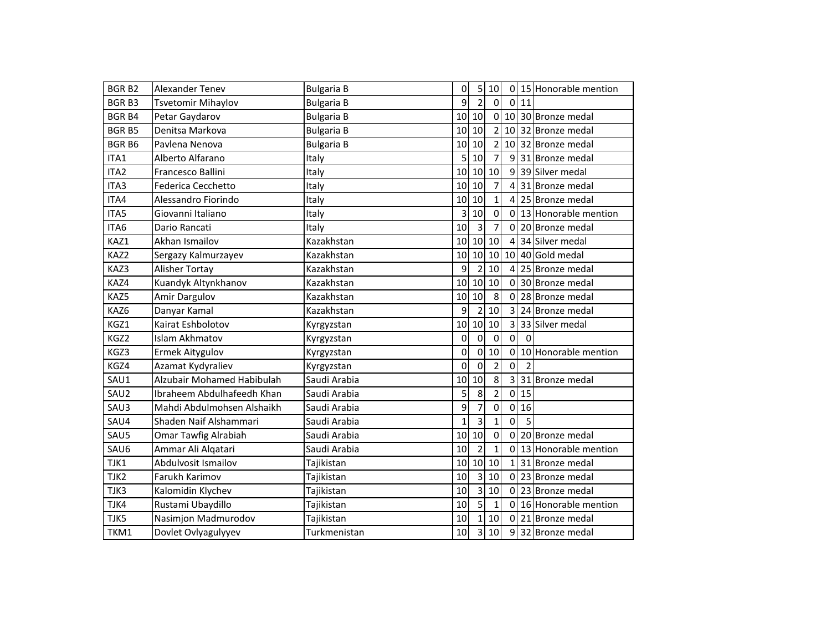| <b>BGRB2</b> | Alexander Tenev            | <b>Bulgaria B</b> | $\overline{0}$  | 5              | 10             |              |                | 0 15 Honorable mention |
|--------------|----------------------------|-------------------|-----------------|----------------|----------------|--------------|----------------|------------------------|
| <b>BGRB3</b> | <b>Tsvetomir Mihaylov</b>  | <b>Bulgaria B</b> | $\overline{9}$  | $\overline{2}$ | $\mathbf 0$    | $\mathbf 0$  | 11             |                        |
| <b>BGRB4</b> | Petar Gaydarov             | <b>Bulgaria B</b> | 10              | 10             | $\overline{0}$ | 10           |                | 30 Bronze medal        |
| <b>BGRB5</b> | Denitsa Markova            | <b>Bulgaria B</b> | 10              | 10             | $\overline{2}$ | 10           |                | 32 Bronze medal        |
| <b>BGRB6</b> | Pavlena Nenova             | <b>Bulgaria B</b> | 10 <sup>1</sup> | 10             | $\overline{2}$ | 10           |                | 32 Bronze medal        |
| ITA1         | Alberto Alfarano           | Italy             | $\overline{5}$  | 10             | $\overline{7}$ | 9            |                | 31 Bronze medal        |
| ITA2         | Francesco Ballini          | Italy             | 10              | 10             | 10             | 9            |                | 39 Silver medal        |
| ITA3         | Federica Cecchetto         | Italy             | 10              | 10             | $\overline{7}$ | 4            |                | 31 Bronze medal        |
| ITA4         | Alessandro Fiorindo        | Italy             | 10              | 10             | $\mathbf{1}$   | 4            |                | 25 Bronze medal        |
| ITA5         | Giovanni Italiano          | Italy             | $\overline{3}$  | 10             | $\mathbf 0$    | 0            |                | 13 Honorable mention   |
| ITA6         | Dario Rancati              | Italy             | 10              | $\overline{3}$ | $\overline{7}$ | 0            |                | 20 Bronze medal        |
| KAZ1         | Akhan Ismailov             | Kazakhstan        | 10 <sup>1</sup> | 10             | 10             |              |                | 34 Silver medal        |
| KAZ2         | Sergazy Kalmurzayev        | Kazakhstan        | 10              | 10             | 10             | 10           |                | 40 Gold medal          |
| KAZ3         | Alisher Tortay             | Kazakhstan        | $\overline{9}$  | $\overline{2}$ | 10             | 4            |                | 25 Bronze medal        |
| KAZ4         | Kuandyk Altynkhanov        | Kazakhstan        | 10              | 10             | 10             | 0            |                | 30 Bronze medal        |
| KAZ5         | Amir Dargulov              | Kazakhstan        | 10              | 10             | 8              | 0            |                | 28 Bronze medal        |
| KAZ6         | Danyar Kamal               | Kazakhstan        | 9               | $\overline{2}$ | 10             | 3            |                | 24 Bronze medal        |
| KGZ1         | Kairat Eshbolotov          | Kyrgyzstan        | 10              | 10             | 10             | 3            |                | 33 Silver medal        |
| KGZ2         | <b>Islam Akhmatov</b>      | Kyrgyzstan        | 0               | $\mathbf 0$    | $\mathbf 0$    | 0            | $\Omega$       |                        |
| KGZ3         | <b>Ermek Aitygulov</b>     | Kyrgyzstan        | 0               | $\mathbf 0$    | 10             | 0            |                | 10 Honorable mention   |
| KGZ4         | Azamat Kydyraliev          | Kyrgyzstan        | 0               | $\mathbf 0$    | $\overline{2}$ | 0            | $\overline{2}$ |                        |
| SAU1         | Alzubair Mohamed Habibulah | Saudi Arabia      | 10              | 10             | 8              | 3            |                | 31 Bronze medal        |
| SAU2         | Ibraheem Abdulhafeedh Khan | Saudi Arabia      | 5               | 8              | $\overline{2}$ | $\mathbf{0}$ | 15             |                        |
| SAU3         | Mahdi Abdulmohsen Alshaikh | Saudi Arabia      | 9               | 7              | $\Omega$       | $\mathbf{0}$ | 16             |                        |
| SAU4         | Shaden Naif Alshammari     | Saudi Arabia      | $\mathbf{1}$    | 3              | $\mathbf{1}$   | $\mathbf{0}$ | 5              |                        |
| SAU5         | Omar Tawfig Alrabiah       | Saudi Arabia      | 10              | 10             | $\mathbf 0$    | 0            |                | 20 Bronze medal        |
| SAU6         | Ammar Ali Alqatari         | Saudi Arabia      | 10              | $\overline{2}$ | $\mathbf{1}$   | 0            |                | 13 Honorable mention   |
| TJK1         | Abdulvosit Ismailov        | Tajikistan        | 10              | 10             | 10             |              |                | 31 Bronze medal        |
| TJK2         | Farukh Karimov             | Tajikistan        | 10              | 3              | 10             | $\mathbf{0}$ |                | 23 Bronze medal        |
| TJK3         | Kalomidin Klychev          | Tajikistan        | 10              | 3              | 10             | 0            |                | 23 Bronze medal        |
| TJK4         | Rustami Ubaydillo          | Tajikistan        | 10              | 5              | $\mathbf{1}$   | 0            |                | 16 Honorable mention   |
| TJK5         | Nasimjon Madmurodov        | Tajikistan        | 10              | 1              | 10             | $\mathbf{0}$ |                | 21 Bronze medal        |
| TKM1         | Dovlet Ovlyagulyyev        | Turkmenistan      | 10              | 3              | 10             | 9            |                | 32 Bronze medal        |
|              |                            |                   |                 |                |                |              |                |                        |